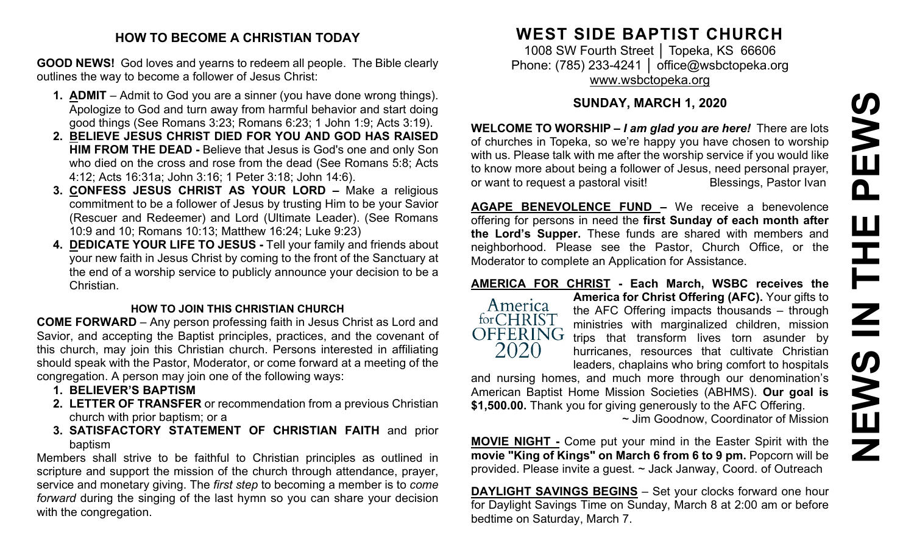#### **HOW TO BECOME A CHRISTIAN TODAY**

**GOOD NEWS!** God loves and yearns to redeem all people. The Bible clearly outlines the way to become a follower of Jesus Christ:

- **1. ADMIT** Admit to God you are a sinner (you have done wrong things). Apologize to God and turn away from harmful behavior and start doing good things (See Romans 3:23; Romans 6:23; 1 John 1:9; Acts 3:19).
- **2. BELIEVE JESUS CHRIST DIED FOR YOU AND GOD HAS RAISED HIM FROM THE DEAD -** Believe that Jesus is God's one and only Son who died on the cross and rose from the dead (See Romans 5:8; Acts 4:12; Acts 16:31a; John 3:16; 1 Peter 3:18; John 14:6).
- **3. CONFESS JESUS CHRIST AS YOUR LORD –** Make a religious commitment to be a follower of Jesus by trusting Him to be your Savior (Rescuer and Redeemer) and Lord (Ultimate Leader). (See Romans 10:9 and 10; Romans 10:13; Matthew 16:24; Luke 9:23)
- **4. DEDICATE YOUR LIFE TO JESUS -** Tell your family and friends about your new faith in Jesus Christ by coming to the front of the Sanctuary at the end of a worship service to publicly announce your decision to be a Christian.

#### **HOW TO JOIN THIS CHRISTIAN CHURCH**

**COME FORWARD** – Any person professing faith in Jesus Christ as Lord and Savior, and accepting the Baptist principles, practices, and the covenant of this church, may join this Christian church. Persons interested in affiliating should speak with the Pastor, Moderator, or come forward at a meeting of the congregation. A person may join one of the following ways:

- **1. BELIEVER'S BAPTISM**
- **2. LETTER OF TRANSFER** or recommendation from a previous Christian church with prior baptism; or a
- **3. SATISFACTORY STATEMENT OF CHRISTIAN FAITH** and prior baptism

Members shall strive to be faithful to Christian principles as outlined in scripture and support the mission of the church through attendance, prayer, service and monetary giving. The *first step* to becoming a member is to *come forward* during the singing of the last hymn so you can share your decision with the congregation.

# **WEST SIDE BAPTIST CHURCH**

1008 SW Fourth Street | Topeka, KS 66606 Phone: (785) 233-4241 │ [office@wsbctopeka.org](mailto:office@wsbctopeka.org) [www.wsbctopeka.org](http://www.wsbctopeka.org/)

### **SUNDAY, MARCH 1, 2020**

**WELCOME TO WORSHIP –** *I am glad you are here!* There are lots of churches in Topeka, so we're happy you have chosen to worship with us. Please talk with me after the worship service if you would like to know more about being a follower of Jesus, need personal prayer, or want to request a pastoral visit!<br>
Blessings, Pastor Ivan

**AGAPE BENEVOLENCE FUND –** We receive a benevolence offering for persons in need the **first Sunday of each month after the Lord's Supper.** These funds are shared with members and neighborhood. Please see the Pastor, Church Office, or the Moderator to complete an Application for Assistance.

## **AMERICA FOR CHRIST - Each March, WSBC receives the**



**America for Christ Offering (AFC).** Your gifts to the AFC Offering impacts thousands – through ministries with marginalized children, mission trips that transform lives torn asunder by hurricanes, resources that cultivate Christian leaders, chaplains who bring comfort to hospitals

and nursing homes, and much more through our denomination's American Baptist Home Mission Societies (ABHMS). **Our goal is \$1,500.00.** Thank you for giving generously to the AFC Offering.

~ Jim Goodnow, Coordinator of Mission

**MOVIE NIGHT -** Come put your mind in the Easter Spirit with the **movie "King of Kings" on March 6 from 6 to 9 pm.** Popcorn will be provided. Please invite a guest. ~ Jack Janway, Coord. of Outreach

**DAYLIGHT SAVINGS BEGINS** – Set your clocks forward one hour for Daylight Savings Time on Sunday, March 8 at 2:00 am or before bedtime on Saturday, March 7.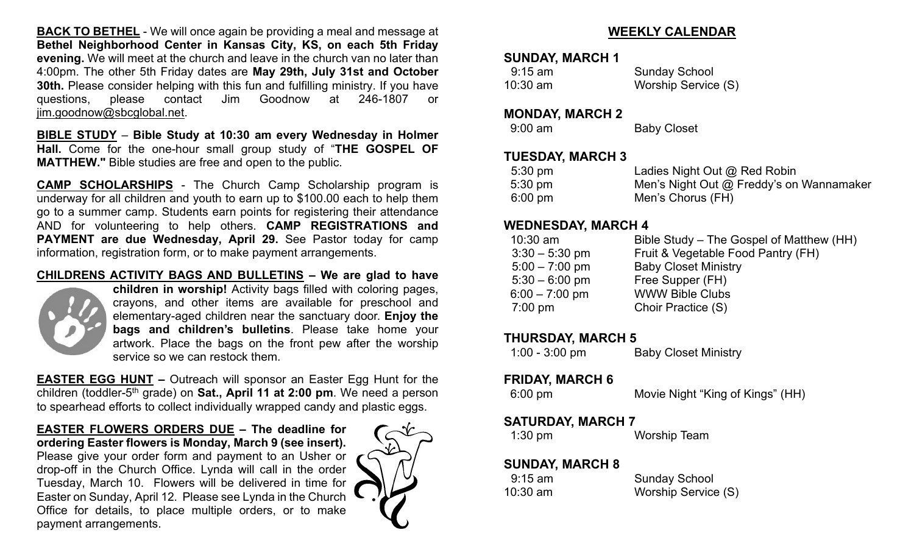**BACK TO BETHEL** - We will once again be providing a meal and message at **Bethel Neighborhood Center in Kansas City, KS, on each 5th Friday evening.** We will meet at the church and leave in the church van no later than 4:00pm. The other 5th Friday dates are **May 29th, July 31st and October 30th.** Please consider helping with this fun and fulfilling ministry. If you have questions, please contact Jim Goodnow at 246-1807 or [jim.goodnow@sbcglobal.net.](mailto:jim.goodnow@sbcglobal.net)

**BIBLE STUDY** – **Bible Study at 10:30 am every Wednesday in Holmer Hall.** Come for the one-hour small group study of "**THE GOSPEL OF MATTHEW."** Bible studies are free and open to the public.

**CAMP SCHOLARSHIPS** - The Church Camp Scholarship program is underway for all children and youth to earn up to \$100.00 each to help them go to a summer camp. Students earn points for registering their attendance AND for volunteering to help others. **CAMP REGISTRATIONS and PAYMENT are due Wednesday, April 29.** See Pastor today for camp information, registration form, or to make payment arrangements.

#### **CHILDRENS ACTIVITY BAGS AND BULLETINS – We are glad to have**



**children in worship!** Activity bags filled with coloring pages, crayons, and other items are available for preschool and elementary-aged children near the sanctuary door. **Enjoy the bags and children's bulletins**. Please take home your artwork. Place the bags on the front pew after the worship service so we can restock them.

**EASTER EGG HUNT –** Outreach will sponsor an Easter Egg Hunt for the children (toddler-5th grade) on **Sat., April 11 at 2:00 pm**. We need a person to spearhead efforts to collect individually wrapped candy and plastic eggs.

#### **EASTER FLOWERS ORDERS DUE – The deadline for ordering Easter flowers is Monday, March 9 (see insert).**

Please give your order form and payment to an Usher or drop-off in the Church Office. Lynda will call in the order Tuesday, March 10. Flowers will be delivered in time for Easter on Sunday, April 12. Please see Lynda in the Church Office for details, to place multiple orders, or to make payment arrangements.



#### **WEEKLY CALENDAR**

#### **SUNDAY, MARCH 1**

| $9:15$ am  | <b>Sunday School</b> |
|------------|----------------------|
| $10:30$ am | Worship Service (S)  |

#### **MONDAY, MARCH 2**

| <b>Baby Closet</b> |
|--------------------|
|                    |

#### **TUESDAY, MARCH 3**

| $5:30 \text{ pm}$ | Ladies Night Out @ Red Robin             |
|-------------------|------------------------------------------|
| $5:30 \text{ pm}$ | Men's Night Out @ Freddy's on Wannamaker |
| $6:00 \text{ pm}$ | Men's Chorus (FH)                        |

#### **WEDNESDAY, MARCH 4**

| $10:30$ am        | Bible Study – The Gospel of Matthew (HH) |
|-------------------|------------------------------------------|
| $3:30 - 5:30$ pm  | Fruit & Vegetable Food Pantry (FH)       |
| $5:00 - 7:00$ pm  | <b>Baby Closet Ministry</b>              |
| $5:30 - 6:00$ pm  | Free Supper (FH)                         |
| $6:00 - 7:00$ pm  | <b>WWW Bible Clubs</b>                   |
| $7:00 \text{ pm}$ | Choir Practice (S)                       |
|                   |                                          |

#### **THURSDAY, MARCH 5**

| $1:00 - 3:00$ pm | <b>Baby Closet Ministry</b> |
|------------------|-----------------------------|
|------------------|-----------------------------|

# **FRIDAY, MARCH 6**<br>6:00 pm

Movie Night "King of Kings" (HH)

#### **SATURDAY, MARCH 7**

| $1:30$ pm | <b>Worship Team</b> |
|-----------|---------------------|
|-----------|---------------------|

#### **SUNDAY, MARCH 8**

| $9:15$ am | <b>Sunday School</b> |
|-----------|----------------------|
| 10:30 am  | Worship Service (S)  |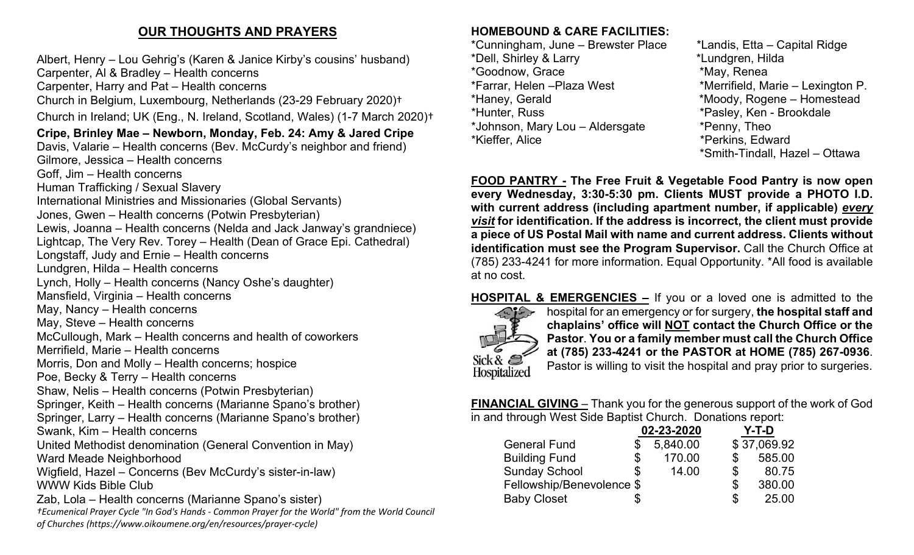# **OUR THOUGHTS AND PRAYERS**

Albert, Henry – Lou Gehrig's (Karen & Janice Kirby's cousins' husband)

Carpenter, Al & Bradley – Health concerns

Carpenter, Harry and Pat – Health concerns

Church in Belgium, Luxembourg, Netherlands (23-29 February 2020)†

Church in Ireland; UK (Eng., N. Ireland, Scotland, Wales) (1-7 March 2020)†

## **Cripe, Brinley Mae – Newborn, Monday, Feb. 24: Amy & Jared Cripe**

Davis, Valarie – Health concerns (Bev. McCurdy's neighbor and friend) Gilmore, Jessica – Health concerns

Goff, Jim – Health concerns

Human Trafficking / Sexual Slavery

International Ministries and Missionaries (Global Servants)

Jones, Gwen – Health concerns (Potwin Presbyterian)

Lewis, Joanna – Health concerns (Nelda and Jack Janway's grandniece)

Lightcap, The Very Rev. Torey – Health (Dean of Grace Epi. Cathedral)

Longstaff, Judy and Ernie – Health concerns

Lundgren, Hilda – Health concerns

Lynch, Holly – Health concerns (Nancy Oshe's daughter)

Mansfield, Virginia – Health concerns

May, Nancy – Health concerns

May, Steve – Health concerns

McCullough, Mark – Health concerns and health of coworkers

Merrifield, Marie – Health concerns

Morris, Don and Molly – Health concerns; hospice

Poe, Becky & Terry – Health concerns

Shaw, Nelis – Health concerns (Potwin Presbyterian)

Springer, Keith – Health concerns (Marianne Spano's brother)

Springer, Larry – Health concerns (Marianne Spano's brother)

Swank, Kim – Health concerns

United Methodist denomination (General Convention in May) Ward Meade Neighborhood

Wigfield, Hazel – Concerns (Bev McCurdy's sister-in-law) WWW Kids Bible Club

Zab, Lola – Health concerns (Marianne Spano's sister)

*†Ecumenical Prayer Cycle "In God's Hands - Common Prayer for the World" from the World Council of Churches (https://www.oikoumene.org/en/resources/prayer-cycle)*

#### **HOMEBOUND & CARE FACILITIES:**

\*Cunningham, June – Brewster Place \*Landis, Etta – Capital Ridge \*Dell, Shirley & Larry \*Lundgren, Hilda \*Goodnow, Grace \*Farrar, Helen –Plaza West \*Merrifield, Marie – Lexington P. \*Haney, Gerald \*Moody, Rogene – Homestead \*Hunter, Russ \*Pasley, Ken - Brookdale \*Johnson, Mary Lou – Aldersgate \*Penny, Theo \*Kieffer, Alice \*Perkins, Edward

\*Smith-Tindall, Hazel – Ottawa

**FOOD PANTRY - The Free Fruit & Vegetable Food Pantry is now open every Wednesday, 3:30-5:30 pm. Clients MUST provide a PHOTO I.D. with current address (including apartment number, if applicable)** *every visit* **for identification. If the address is incorrect, the client must provide a piece of US Postal Mail with name and current address. Clients without identification must see the Program Supervisor.** Call the Church Office at (785) 233-4241 for more information. Equal Opportunity. \*All food is available at no cost.

# **HOSPITAL & EMERGENCIES –** If you or a loved one is admitted to the



hospital for an emergency or for surgery, **the hospital staff and chaplains' office will NOT contact the Church Office or the Pastor**. **You or a family member must call the Church Office at (785) 233-4241 or the PASTOR at HOME (785) 267-0936**. Pastor is willing to visit the hospital and pray prior to surgeries.

**FINANCIAL GIVING** – Thank you for the generous support of the work of God in and through West Side Baptist Church. Donations report:

|                           | 02-23-2020 |          |    | Y-T-D       |  |
|---------------------------|------------|----------|----|-------------|--|
| <b>General Fund</b>       |            | 5,840.00 |    | \$37,069.92 |  |
| <b>Building Fund</b>      | \$         | 170.00   |    | 585.00      |  |
| <b>Sunday School</b>      | \$         | 14.00    | \$ | 80.75       |  |
| Fellowship/Benevolence \$ |            |          | \$ | 380.00      |  |
| <b>Baby Closet</b>        | Æ          |          | S  | 25.00       |  |